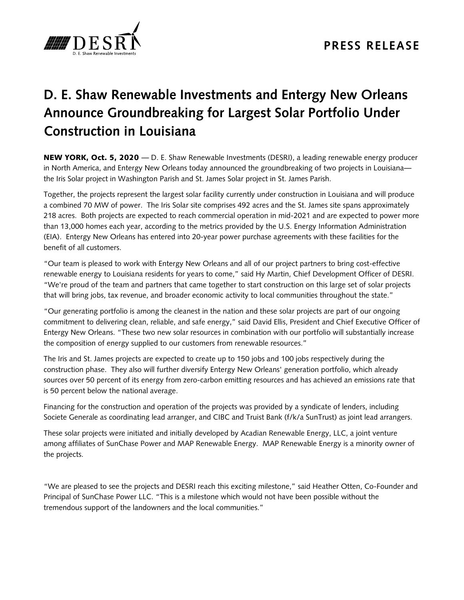

## **D. E. Shaw Renewable Investments and Entergy New Orleans Announce Groundbreaking for Largest Solar Portfolio Under Construction in Louisiana**

NEW YORK, Oct. 5, 2020 — D. E. Shaw Renewable Investments (DESRI), a leading renewable energy producer in North America, and Entergy New Orleans today announced the groundbreaking of two projects in Louisiana the Iris Solar project in Washington Parish and St. James Solar project in St. James Parish.

Together, the projects represent the largest solar facility currently under construction in Louisiana and will produce a combined 70 MW of power. The Iris Solar site comprises 492 acres and the St. James site spans approximately 218 acres. Both projects are expected to reach commercial operation in mid-2021 and are expected to power more than 13,000 homes each year, according to the metrics provided by the U.S. Energy Information Administration (EIA). Entergy New Orleans has entered into 20-year power purchase agreements with these facilities for the benefit of all customers.

"Our team is pleased to work with Entergy New Orleans and all of our project partners to bring cost-effective renewable energy to Louisiana residents for years to come," said Hy Martin, Chief Development Officer of DESRI. "We're proud of the team and partners that came together to start construction on this large set of solar projects that will bring jobs, tax revenue, and broader economic activity to local communities throughout the state."

"Our generating portfolio is among the cleanest in the nation and these solar projects are part of our ongoing commitment to delivering clean, reliable, and safe energy," said David Ellis, President and Chief Executive Officer of Entergy New Orleans. "These two new solar resources in combination with our portfolio will substantially increase the composition of energy supplied to our customers from renewable resources."

The Iris and St. James projects are expected to create up to 150 jobs and 100 jobs respectively during the construction phase. They also will further diversify Entergy New Orleans' generation portfolio, which already sources over 50 percent of its energy from zero-carbon emitting resources and has achieved an emissions rate that is 50 percent below the national average.

Financing for the construction and operation of the projects was provided by a syndicate of lenders, including Societe Generale as coordinating lead arranger, and CIBC and Truist Bank (f/k/a SunTrust) as joint lead arrangers.

These solar projects were initiated and initially developed by Acadian Renewable Energy, LLC, a joint venture among affiliates of SunChase Power and MAP Renewable Energy. MAP Renewable Energy is a minority owner of the projects.

"We are pleased to see the projects and DESRI reach this exciting milestone," said Heather Otten, Co-Founder and Principal of SunChase Power LLC. "This is a milestone which would not have been possible without the tremendous support of the landowners and the local communities."